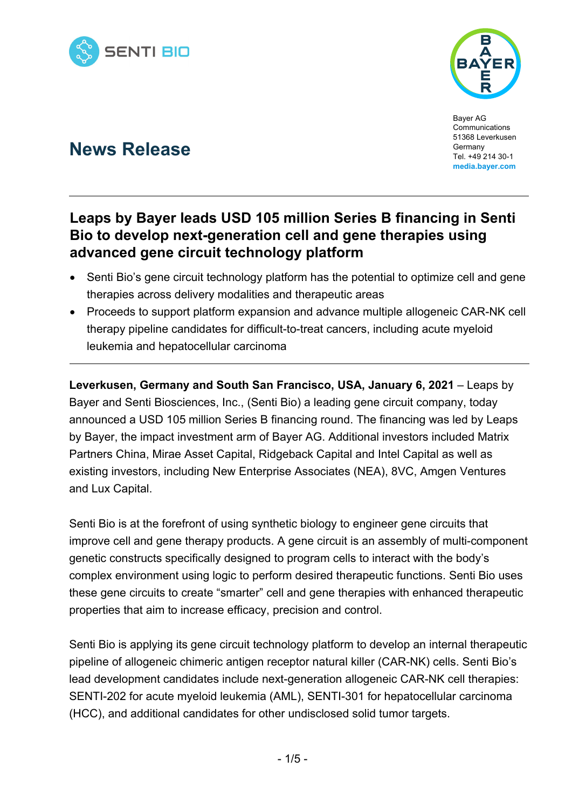



Bayer AG Communications 51368 Leverkusen **Germany** Tel. +49 214 30-1 **media.bayer.com**

# **News Release**

## **Leaps by Bayer leads USD 105 million Series B financing in Senti Bio to develop next-generation cell and gene therapies using advanced gene circuit technology platform**

- Senti Bio's gene circuit technology platform has the potential to optimize cell and gene therapies across delivery modalities and therapeutic areas
- Proceeds to support platform expansion and advance multiple allogeneic CAR-NK cell therapy pipeline candidates for difficult-to-treat cancers, including acute myeloid leukemia and hepatocellular carcinoma

**Leverkusen, Germany and South San Francisco, USA, January 6, 2021 – Leaps by** Bayer and Senti Biosciences, Inc., (Senti Bio) a leading gene circuit company, today announced a USD 105 million Series B financing round. The financing was led by Leaps by Bayer, the impact investment arm of Bayer AG. Additional investors included Matrix Partners China, Mirae Asset Capital, Ridgeback Capital and Intel Capital as well as existing investors, including New Enterprise Associates (NEA), 8VC, Amgen Ventures and Lux Capital.

Senti Bio is at the forefront of using synthetic biology to engineer gene circuits that improve cell and gene therapy products. A gene circuit is an assembly of multi-component genetic constructs specifically designed to program cells to interact with the body's complex environment using logic to perform desired therapeutic functions. Senti Bio uses these gene circuits to create "smarter" cell and gene therapies with enhanced therapeutic properties that aim to increase efficacy, precision and control.

Senti Bio is applying its gene circuit technology platform to develop an internal therapeutic pipeline of allogeneic chimeric antigen receptor natural killer (CAR-NK) cells. Senti Bio's lead development candidates include next-generation allogeneic CAR-NK cell therapies: SENTI-202 for acute myeloid leukemia (AML), SENTI-301 for hepatocellular carcinoma (HCC), and additional candidates for other undisclosed solid tumor targets.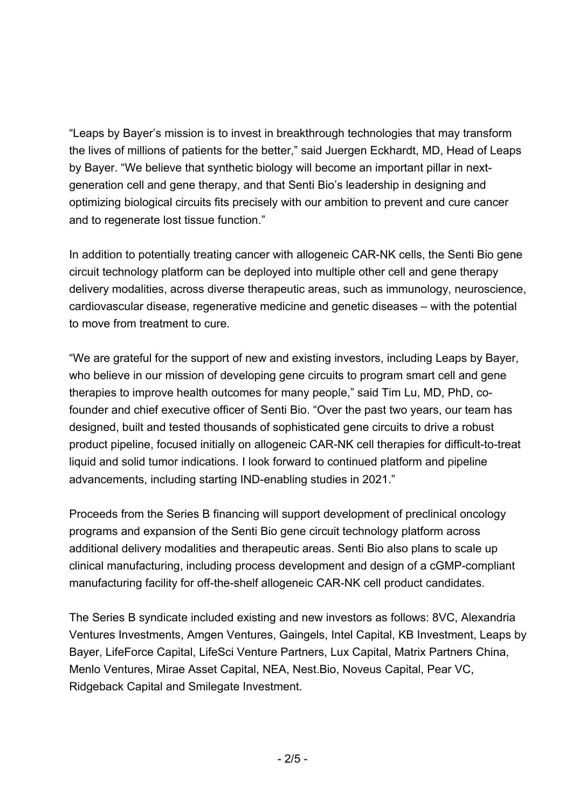"Leaps by Bayer's mission is to invest in breakthrough technologies that may transform the lives of millions of patients for the better," said Juergen Eckhardt, MD, Head of Leaps by Bayer. "We believe that synthetic biology will become an important pillar in nextgeneration cell and gene therapy, and that Senti Bio's leadership in designing and optimizing biological circuits fits precisely with our ambition to prevent and cure cancer and to regenerate lost tissue function."

In addition to potentially treating cancer with allogeneic CAR-NK cells, the Senti Bio gene circuit technology platform can be deployed into multiple other cell and gene therapy delivery modalities, across diverse therapeutic areas, such as immunology, neuroscience, cardiovascular disease, regenerative medicine and genetic diseases – with the potential to move from treatment to cure.

"We are grateful for the support of new and existing investors, including Leaps by Bayer, who believe in our mission of developing gene circuits to program smart cell and gene therapies to improve health outcomes for many people," said Tim Lu, MD, PhD, cofounder and chief executive officer of Senti Bio. "Over the past two years, our team has designed, built and tested thousands of sophisticated gene circuits to drive a robust product pipeline, focused initially on allogeneic CAR-NK cell therapies for difficult-to-treat liquid and solid tumor indications. I look forward to continued platform and pipeline advancements, including starting IND-enabling studies in 2021."

Proceeds from the Series B financing will support development of preclinical oncology programs and expansion of the Senti Bio gene circuit technology platform across additional delivery modalities and therapeutic areas. Senti Bio also plans to scale up clinical manufacturing, including process development and design of a cGMP-compliant manufacturing facility for off-the-shelf allogeneic CAR-NK cell product candidates.

The Series B syndicate included existing and new investors as follows: 8VC, Alexandria Ventures Investments, Amgen Ventures, Gaingels, Intel Capital, KB Investment, Leaps by Bayer, LifeForce Capital, LifeSci Venture Partners, Lux Capital, Matrix Partners China, Menlo Ventures, Mirae Asset Capital, NEA, Nest.Bio, Noveus Capital, Pear VC, Ridgeback Capital and Smilegate Investment.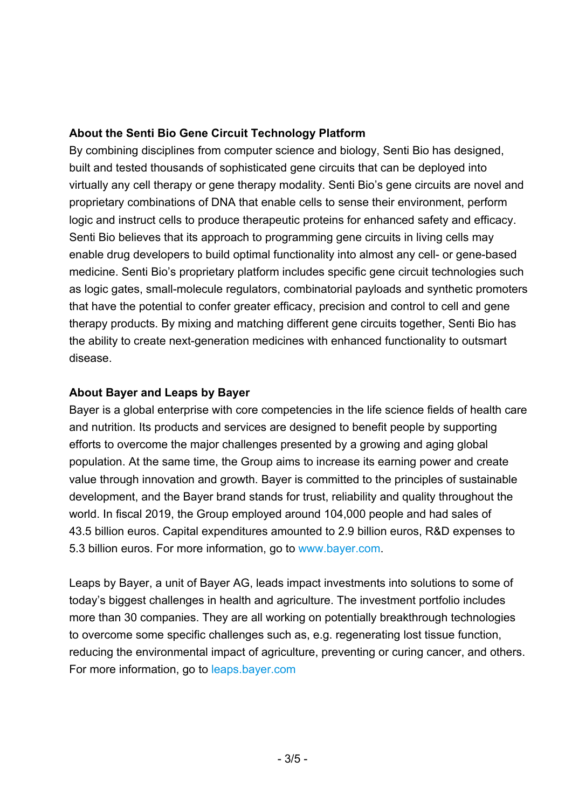#### **About the Senti Bio Gene Circuit Technology Platform**

By combining disciplines from computer science and biology, Senti Bio has designed, built and tested thousands of sophisticated gene circuits that can be deployed into virtually any cell therapy or gene therapy modality. Senti Bio's gene circuits are novel and proprietary combinations of DNA that enable cells to sense their environment, perform logic and instruct cells to produce therapeutic proteins for enhanced safety and efficacy. Senti Bio believes that its approach to programming gene circuits in living cells may enable drug developers to build optimal functionality into almost any cell- or gene-based medicine. Senti Bio's proprietary platform includes specific gene circuit technologies such as logic gates, small-molecule regulators, combinatorial payloads and synthetic promoters that have the potential to confer greater efficacy, precision and control to cell and gene therapy products. By mixing and matching different gene circuits together, Senti Bio has the ability to create next-generation medicines with enhanced functionality to outsmart disease.

#### **About Bayer and Leaps by Bayer**

Bayer is a global enterprise with core competencies in the life science fields of health care and nutrition. Its products and services are designed to benefit people by supporting efforts to overcome the major challenges presented by a growing and aging global population. At the same time, the Group aims to increase its earning power and create value through innovation and growth. Bayer is committed to the principles of sustainable development, and the Bayer brand stands for trust, reliability and quality throughout the world. In fiscal 2019, the Group employed around 104,000 people and had sales of 43.5 billion euros. Capital expenditures amounted to 2.9 billion euros, R&D expenses to 5.3 billion euros. For more information, go to www.bayer.com.

Leaps by Bayer, a unit of Bayer AG, leads impact investments into solutions to some of today's biggest challenges in health and agriculture. The investment portfolio includes more than 30 companies. They are all working on potentially breakthrough technologies to overcome some specific challenges such as, e.g. regenerating lost tissue function, reducing the environmental impact of agriculture, preventing or curing cancer, and others. For more information, go to leaps.bayer.com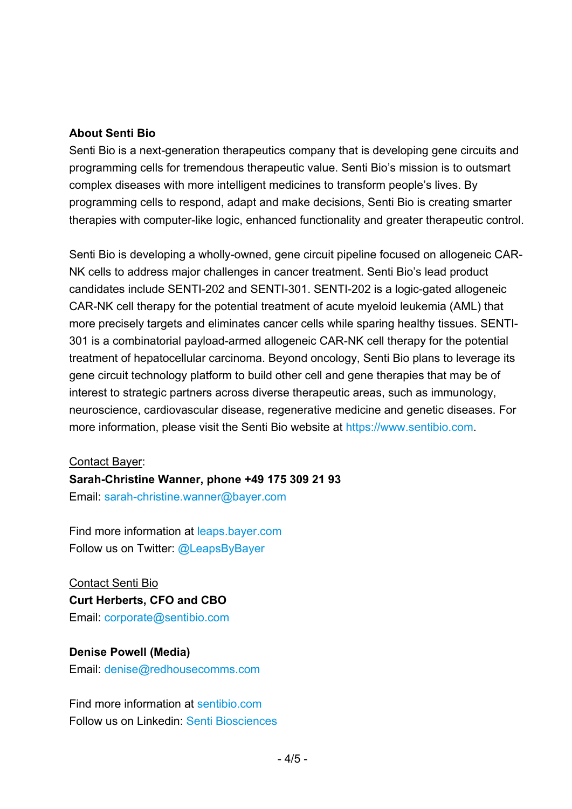#### **About Senti Bio**

Senti Bio is a next-generation therapeutics company that is developing gene circuits and programming cells for tremendous therapeutic value. Senti Bio's mission is to outsmart complex diseases with more intelligent medicines to transform people's lives. By programming cells to respond, adapt and make decisions, Senti Bio is creating smarter therapies with computer-like logic, enhanced functionality and greater therapeutic control.

Senti Bio is developing a wholly-owned, gene circuit pipeline focused on allogeneic CAR-NK cells to address major challenges in cancer treatment. Senti Bio's lead product candidates include SENTI-202 and SENTI-301. SENTI-202 is a logic-gated allogeneic CAR-NK cell therapy for the potential treatment of acute myeloid leukemia (AML) that more precisely targets and eliminates cancer cells while sparing healthy tissues. SENTI-301 is a combinatorial payload-armed allogeneic CAR-NK cell therapy for the potential treatment of hepatocellular carcinoma. Beyond oncology, Senti Bio plans to leverage its gene circuit technology platform to build other cell and gene therapies that may be of interest to strategic partners across diverse therapeutic areas, such as immunology, neuroscience, cardiovascular disease, regenerative medicine and genetic diseases. For more information, please visit the Senti Bio website at https://www.sentibio.com.

#### Contact Bayer:

#### **Sarah-Christine Wanner, phone +49 175 309 21 93**

Email: sarah-christine.wanner@bayer.com

Find more information at leaps.bayer.com Follow us on Twitter: @LeapsByBayer

Contact Senti Bio **Curt Herberts, CFO and CBO**  Email: corporate@sentibio.com

### **Denise Powell (Media)**

Email: denise@redhousecomms.com

Find more information at sentibio.com Follow us on Linkedin: Senti Biosciences